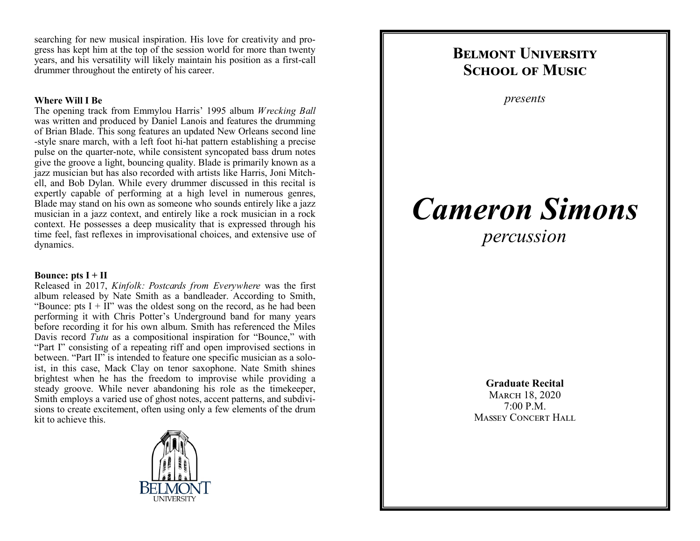searching for new musical inspiration. His love for creativity and progress has kept him at the top of the session world for more than twenty years, and his versatility will likely maintain his position as a first-call drummer throughout the entirety of his career.

## **Where Will I Be**

The opening track from Emmylou Harris' 1995 album *Wrecking Ball* was written and produced by Daniel Lanois and features the drumming of Brian Blade. This song features an updated New Orleans second line -style snare march, with a left foot hi-hat pattern establishing a precise pulse on the quarter-note, while consistent syncopated bass drum notes give the groove a light, bouncing quality. Blade is primarily known as a jazz musician but has also recorded with artists like Harris, Joni Mitchell, and Bob Dylan. While every drummer discussed in this recital is expertly capable of performing at a high level in numerous genres, Blade may stand on his own as someone who sounds entirely like a jazz musician in a jazz context, and entirely like a rock musician in a rock context. He possesses a deep musicality that is expressed through his time feel, fast reflexes in improvisational choices, and extensive use of dynamics.

## **Bounce: pts I + II**

Released in 2017, *Kinfolk: Postcards from Everywhere* was the first album released by Nate Smith as a bandleader. According to Smith, "Bounce: pts  $I + II$ " was the oldest song on the record, as he had been performing it with Chris Potter's Underground band for many years before recording it for his own album. Smith has referenced the Miles Davis record *Tutu* as a compositional inspiration for "Bounce," with "Part I" consisting of a repeating riff and open improvised sections in between. "Part II" is intended to feature one specific musician as a soloist, in this case, Mack Clay on tenor saxophone. Nate Smith shines brightest when he has the freedom to improvise while providing a steady groove. While never abandoning his role as the timekeeper, Smith employs a varied use of ghost notes, accent patterns, and subdivisions to create excitement, often using only a few elements of the drum kit to achieve this.



## **Belmont University SCHOOL OF MUSIC**

*presents*

# *Cameron Simons*

*percussion*

**Graduate Recital** March 18, 2020

7:00 P.M. Massey Concert Hall